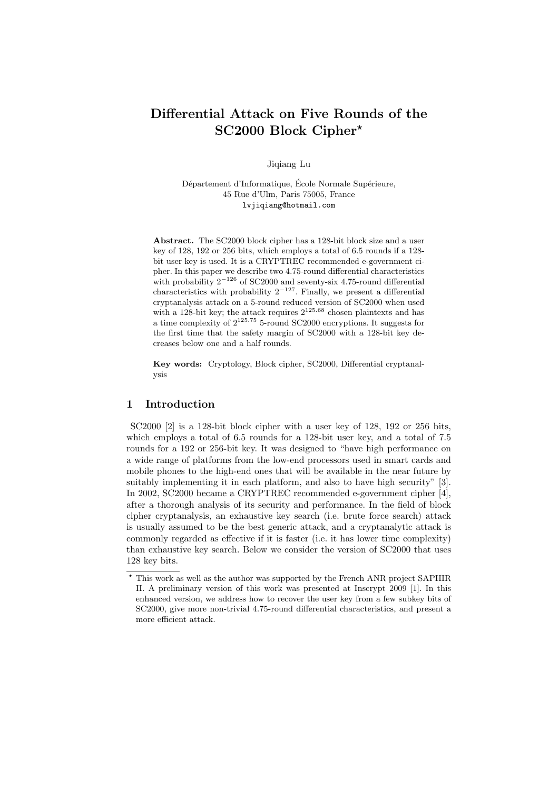# **Differential Attack on Five Rounds of the SC2000 Block Cipher***<sup>⋆</sup>*

Jiqiang Lu

Département d'Informatique, École Normale Supérieure, 45 Rue d'Ulm, Paris 75005, France lvjiqiang@hotmail.com

**Abstract.** The SC2000 block cipher has a 128-bit block size and a user key of 128, 192 or 256 bits, which employs a total of 6.5 rounds if a 128 bit user key is used. It is a CRYPTREC recommended e-government cipher. In this paper we describe two 4.75-round differential characteristics with probability 2*−*<sup>126</sup> of SC2000 and seventy-six 4.75-round differential characteristics with probability 2*−*<sup>127</sup>. Finally, we present a differential cryptanalysis attack on a 5-round reduced version of SC2000 when used with a 128-bit key; the attack requires  $2^{125.68}$  chosen plaintexts and has a time complexity of 2<sup>125</sup>*.*<sup>75</sup> 5-round SC2000 encryptions. It suggests for the first time that the safety margin of SC2000 with a 128-bit key decreases below one and a half rounds.

**Key words:** Cryptology, Block cipher, SC2000, Differential cryptanalysis

# **1 Introduction**

SC2000 [2] is a 128-bit block cipher with a user key of 128, 192 or 256 bits, which employs a total of 6.5 rounds for a 128-bit user key, and a total of 7.5 rounds for a 192 or 256-bit key. It was designed to "have high performance on a wide range of platforms from the low-end processors used in smart cards and mobile phones to the high-end ones that will be available in the near future by suitably implementing it in each platform, and also to have high security" [3]. In 2002, SC2000 became a CRYPTREC recommended e-government cipher [4], after a thorough analysis of its security and performance. In the field of block cipher cryptanalysis, an exhaustive key search (i.e. brute force search) attack is usually assumed to be the best generic attack, and a cryptanalytic attack is commonly regarded as effective if it is faster (i.e. it has lower time complexity) than exhaustive key search. Below we consider the version of SC2000 that uses 128 key bits.

*<sup>⋆</sup>* This work as well as the author was supported by the French ANR project SAPHIR II. A preliminary version of this work was presented at Inscrypt 2009 [1]. In this enhanced version, we address how to recover the user key from a few subkey bits of SC2000, give more non-trivial 4.75-round differential characteristics, and present a more efficient attack.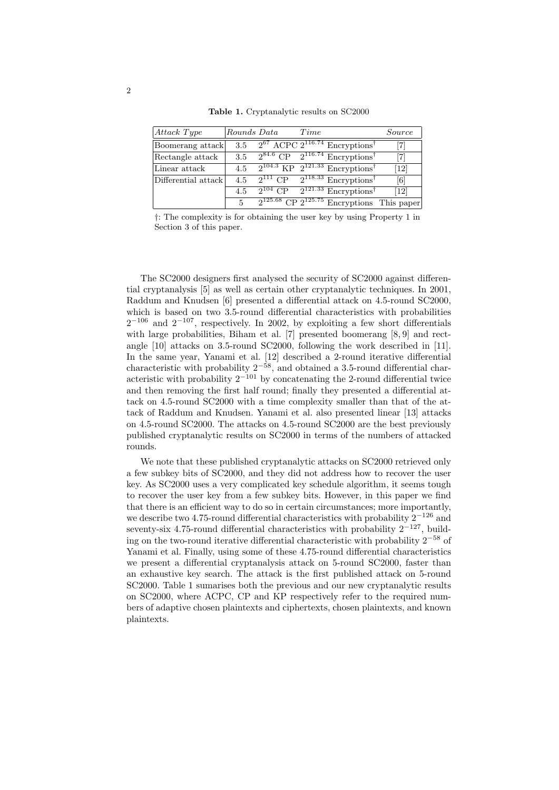| Attack Type         | Rounds Data | Time |                                                                           | Source                       |
|---------------------|-------------|------|---------------------------------------------------------------------------|------------------------------|
| Boomerang attack    | 3.5         |      | $2^{67}$ ACPC $2^{116.74}$ Encryptions <sup>†</sup>                       |                              |
| Rectangle attack    | 3.5         |      | $2^{84.6}$ CP $2^{116.74}$ Encryptions <sup>†</sup>                       |                              |
| Linear attack       | 4.5         |      | $\sqrt{2^{104.3} \text{ KP} \cdot 2^{121.33} \text{Eneryptions}}$         | $\left[12\right]$            |
| Differential attack | 4.5         |      | $\sqrt{2^{111} \text{ CP}}$ $2^{118.33}$ Encryptions <sup>†</sup>         | [6]                          |
|                     | 4.5         |      | $\sqrt{2^{104} \text{ CP}}$ $2^{121.33}$ Encryptions <sup>†</sup>         | $\left\lceil 12\right\rceil$ |
|                     | 5           |      | $\sqrt{2^{125.68} \text{ CP } 2^{125.75} \text{ Encryption} }$ This paper |                              |

*†*: The complexity is for obtaining the user key by using Property 1 in Section 3 of this paper*.*

The SC2000 designers first analysed the security of SC2000 against differential cryptanalysis [5] as well as certain other cryptanalytic techniques. In 2001, Raddum and Knudsen [6] presented a differential attack on 4.5-round SC2000, which is based on two 3.5-round differential characteristics with probabilities 2 *<sup>−</sup>*<sup>106</sup> and 2*<sup>−</sup>*<sup>107</sup>, respectively. In 2002, by exploiting a few short differentials with large probabilities, Biham et al. [7] presented boomerang [8,9] and rectangle [10] attacks on 3.5-round SC2000, following the work described in [11]. In the same year, Yanami et al. [12] described a 2-round iterative differential characteristic with probability 2<sup>−58</sup>, and obtained a 3.5-round differential char-<br>characteristic with probability 2<sup>−58</sup>, and obtained a 3.5-round differential characteristic with probability 2*<sup>−</sup>*<sup>101</sup> by concatenating the 2-round differential twice and then removing the first half round; finally they presented a differential attack on 4.5-round SC2000 with a time complexity smaller than that of the attack of Raddum and Knudsen. Yanami et al. also presented linear [13] attacks on 4.5-round SC2000. The attacks on 4.5-round SC2000 are the best previously published cryptanalytic results on SC2000 in terms of the numbers of attacked rounds.

We note that these published cryptanalytic attacks on  $SC2000$  retrieved only a few subkey bits of SC2000, and they did not address how to recover the user key. As SC2000 uses a very complicated key schedule algorithm, it seems tough to recover the user key from a few subkey bits. However, in this paper we find that there is an efficient way to do so in certain circumstances; more importantly, we describe two 4.75-round differential characteristics with probability 2*<sup>−</sup>*<sup>126</sup> and seventy-six 4.75-round differential characteristics with probability 2*<sup>−</sup>*<sup>127</sup>, building on the two-round iterative differential characteristic with probability 2*<sup>−</sup>*<sup>58</sup> of Yanami et al. Finally, using some of these 4.75-round differential characteristics we present a differential cryptanalysis attack on 5-round SC2000, faster than an exhaustive key search. The attack is the first published attack on 5-round SC2000. Table 1 sumarises both the previous and our new cryptanalytic results on SC2000, where ACPC, CP and KP respectively refer to the required numbers of adaptive chosen plaintexts and ciphertexts, chosen plaintexts, and known plaintexts.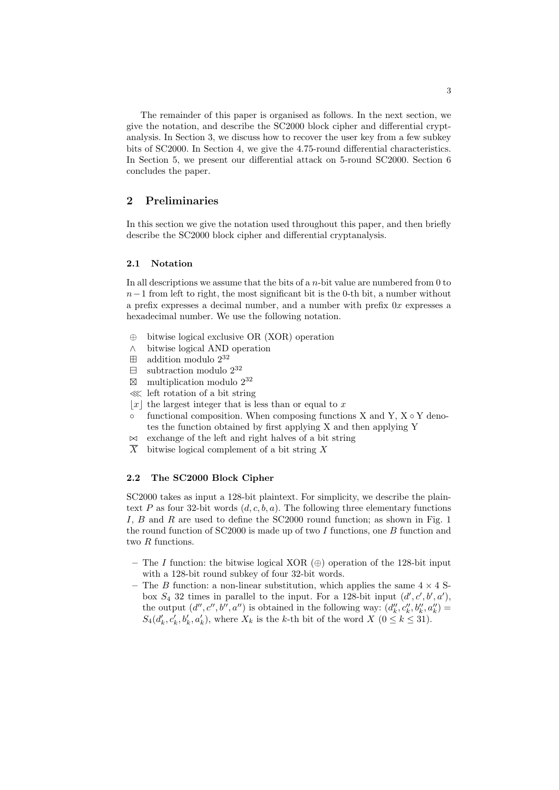The remainder of this paper is organised as follows. In the next section, we give the notation, and describe the SC2000 block cipher and differential cryptanalysis. In Section 3, we discuss how to recover the user key from a few subkey bits of SC2000. In Section 4, we give the 4.75-round differential characteristics. In Section 5, we present our differential attack on 5-round SC2000. Section 6 concludes the paper.

# **2 Preliminaries**

In this section we give the notation used throughout this paper, and then briefly describe the SC2000 block cipher and differential cryptanalysis.

#### **2.1 Notation**

In all descriptions we assume that the bits of a *n*-bit value are numbered from 0 to *n*<sup>−1</sup> from left to right, the most significant bit is the 0-th bit, a number without a prefix expresses a decimal number, and a number with prefix 0*x* expresses a hexadecimal number. We use the following notation.

- *⊕* bitwise logical exclusive OR (XOR) operation
- *∧* bitwise logical AND operation
- $\boxplus$  addition modulo  $2^{32}$
- $\Box$  subtraction modulo  $2^{32}$
- $\boxtimes$ multiplication modulo 2<sup>32</sup>
- ≪ left rotation of a bit string
- $|x|$  the largest integer that is less than or equal to x
- *◦* functional composition. When composing functions X and Y, X *◦* Y denotes the function obtained by first applying X and then applying Y
- *◃▹* exchange of the left and right halves of a bit string
- $\overline{X}$  bitwise logical complement of a bit string  $\overline{X}$

# **2.2 The SC2000 Block Cipher**

SC2000 takes as input a 128-bit plaintext. For simplicity, we describe the plaintext *P* as four 32-bit words  $(d, c, b, a)$ . The following three elementary functions *I*, *B* and *R* are used to define the SC2000 round function; as shown in Fig. 1 the round function of SC2000 is made up of two *I* functions, one *B* function and two *R* functions.

- **–** The *I* function: the bitwise logical XOR (*⊕*) operation of the 128-bit input with a 128-bit round subkey of four 32-bit words.
- **–** The *B* function: a non-linear substitution, which applies the same 4 *×* 4 Sbox  $S_4$  32 times in parallel to the input. For a 128-bit input  $(d', c', b', a')$ , the output  $(d'', c'', b'', a'')$  is obtained in the following way:  $(d_k'', c_k'', b_k'', a_k'') =$  $S_4(d'_k, c'_k, b'_k, a'_k)$ , where  $X_k$  is the k-th bit of the word  $X$   $(0 \le k \le 31)$ .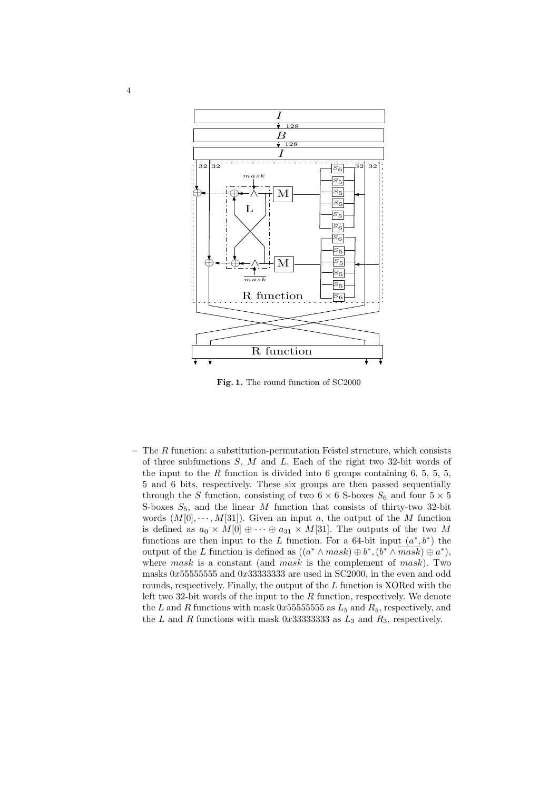

**Fig. 1.** The round function of SC2000

**–** The *R* function: a substitution-permutation Feistel structure, which consists of three subfunctions *S*, *M* and *L*. Each of the right two 32-bit words of the input to the  $R$  function is divided into 6 groups containing  $6, 5, 5, 5$ , 5 and 6 bits, respectively. These six groups are then passed sequentially through the *S* function, consisting of two  $6 \times 6$  S-boxes  $S_6$  and four  $5 \times 5$ S-boxes  $S_5$ , and the linear  $M$  function that consists of thirty-two 32-bit words  $(M[0], \dots, M[31])$ . Given an input *a*, the output of the *M* function is defined as  $a_0 \times M[0] \oplus \cdots \oplus a_{31} \times M[31]$ . The outputs of the two M functions are then input to the *L* function. For a 64-bit input  $(a^*, b^*)$  the output of the *L* function is defined as  $((a^* \land mask) \oplus b^*, (b^* \land \overline{mask}) \oplus a^*),$ where *mask* is a constant (and *mask* is the complement of *mask*). Two masks 0*x*55555555 and 0*x*33333333 are used in SC2000, in the even and odd rounds, respectively. Finally, the output of the *L* function is XORed with the left two 32-bit words of the input to the *R* function, respectively. We denote the *L* and *R* functions with mask  $0x555555555$  as  $L_5$  and  $R_5$ , respectively, and the *L* and *R* functions with mask 0x33333333333 as  $L_3$  and  $R_3$ , respectively.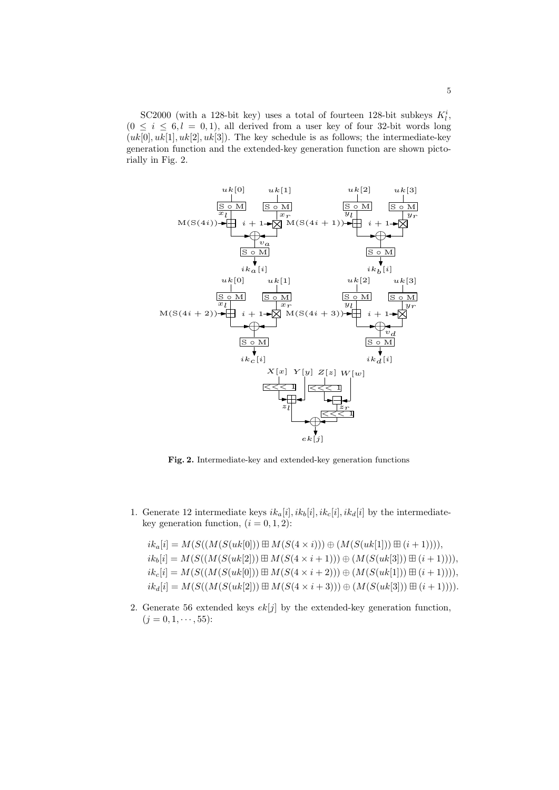SC2000 (with a 128-bit key) uses a total of fourteen 128-bit subkeys  $K_l^i$ ,  $(0 \leq i \leq 6, l = 0, 1)$ , all derived from a user key of four 32-bit words long  $(uk[0], uk[1], uk[2], uk[3])$ . The key schedule is as follows; the intermediate-key generation function and the extended-key generation function are shown pictorially in Fig. 2.



**Fig. 2.** Intermediate-key and extended-key generation functions

1. Generate 12 intermediate keys  $ik_a[i], ik_b[i], ik_c[i], ik_d[i]$  by the intermediatekey generation function,  $(i = 0, 1, 2)$ :

 $ik_a[i] = M(S((M(S(uk[0])) \boxplus M(S(4 \times i))) \oplus (M(S(uk[1])) \boxplus (i+1))))$ ,  $ik_b[i] = M(S((M(S(uk[2])) \boxplus M(S(4 \times i+1))) \oplus (M(S(uk[3])) \boxplus (i+1))))$  $ik_c[i] = M(S((M(S(uk[0])) \boxplus M(S(4 \times i+2))) \oplus (M(S(uk[1])) \boxplus (i+1))))$  $ik_d[i] = M(S((M(S(uk[2])) \boxplus M(S(4 \times i+3))) \oplus (M(S(uk[3])) \boxplus (i+1))))$ .

2. Generate 56 extended keys  $ek[j]$  by the extended-key generation function,  $(j = 0, 1, \dots, 55)$ :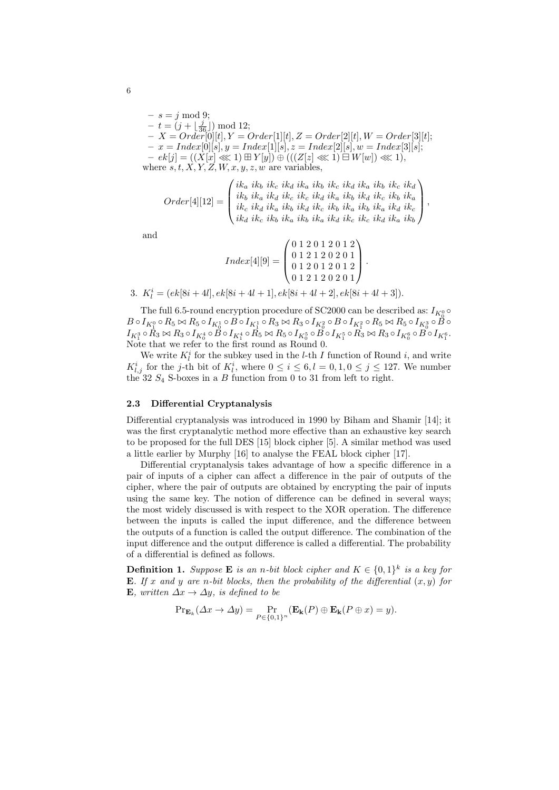$- s = j \mod 9;$  $- t = (j + \lfloor \frac{j}{36} \rfloor) \mod 12;$ **–** *X* = *Order*[0][*t*]*, Y* = *Order*[1][*t*]*, Z* = *Order*[2][*t*]*, W* = *Order*[3][*t*];  $- x = Index[0][s], y = Index[1][s], z = Index[2][s], w = Index[3][s];$ **–** *ek*[*j*] = ((*X*[*x*] ≪ 1) *Y* [*y*]) *⊕* (((*Z*[*z*] ≪ 1)  *W*[*w*]) ≪ 1), where  $s, t, X, Y, Z, W, x, y, z, w$  are variables,

$$
Order[4][12] = \begin{pmatrix} ik_a & ik_b & ik_c & ik_d & ik_b & ik_c & ik_d & ik_b & ik_c & ik_d \\ ik_b & ik_a & ik_d & ik_c & ik_d & ik_a & ik_b & ik_d & ik_c & ik_b & ik_a \\ ik_c & ik_d & ik_a & ik_b & ik_d & ik_c & ik_b & ik_a & ik_b & ik_a & ik_c \\ ik_d & ik_c & ik_b & ik_a & ik_b & ik_d & ik_c & ik_d & ik_a & ik_b \end{pmatrix},
$$

and

$$
Index[4][9] = \begin{pmatrix} 0 & 1 & 2 & 0 & 1 & 2 & 0 & 1 & 2 \\ 0 & 1 & 2 & 1 & 2 & 0 & 2 & 0 & 1 \\ 0 & 1 & 2 & 0 & 1 & 2 & 0 & 1 & 2 \\ 0 & 1 & 2 & 1 & 2 & 0 & 2 & 0 & 1 \end{pmatrix}.
$$

3.  $K_l^i = (ek[8i+4l], ek[8i+4l+1], ek[8i+4l+2], ek[8i+4l+3]).$ 

The full 6.5-round encryption procedure of SC2000 can be described as:  $I_{K_0^0} \circ$  $B\circ I_{K^0_1}\circ R_5\bowtie R_5\circ I_{K^1_0}\circ \stackrel{\circ}{B}\circ I_{K^1_1}\circ R_3\bowtie R_3\circ I_{K^2_0}\circ B\circ I_{K^2_1}\circ R_5\bowtie R_5\circ I_{K^3_0}\circ \stackrel{K_0}{B}\circ$  $I_{K^3_1}\circ R_3 \bowtie R_3 \circ I_{K^4_0}\circ B \circ I_{K^4_1}\circ R_5 \bowtie R_5 \circ I_{K^5_0}\circ B \circ I_{K^5_1}\circ R_3 \bowtie R_3 \circ I_{K^6_0}\circ B \circ I_{K^6_1}.$ Note that we refer to the first round as Round 0.

We write  $K_l^i$  for the subkey used in the *l*-th *I* function of Round *i*, and write  $K_{l,j}^i$  for the *j*-th bit of  $K_l^i$ , where  $0 \le i \le 6, l = 0, 1, 0 \le j \le 127$ . We number the 32  $S_4$  S-boxes in a *B* function from 0 to 31 from left to right.

#### **2.3 Differential Cryptanalysis**

Differential cryptanalysis was introduced in 1990 by Biham and Shamir [14]; it was the first cryptanalytic method more effective than an exhaustive key search to be proposed for the full DES [15] block cipher [5]. A similar method was used a little earlier by Murphy [16] to analyse the FEAL block cipher [17].

Differential cryptanalysis takes advantage of how a specific difference in a pair of inputs of a cipher can affect a difference in the pair of outputs of the cipher, where the pair of outputs are obtained by encrypting the pair of inputs using the same key. The notion of difference can be defined in several ways; the most widely discussed is with respect to the XOR operation. The difference between the inputs is called the input difference, and the difference between the outputs of a function is called the output difference. The combination of the input difference and the output difference is called a differential. The probability of a differential is defined as follows.

**Definition 1.** *Suppose* **E** *is an n-bit block cipher and*  $K \in \{0,1\}^k$  *is a key for* **E***. If x* and *y* are *n*-bit blocks, then the probability of the differential  $(x, y)$  for **E***, written ∆x → ∆y, is defined to be*

$$
\Pr_{\mathbf{E}_{k}}(\Delta x \to \Delta y) = \Pr_{P \in \{0,1\}^n}(\mathbf{E}_{k}(P) \oplus \mathbf{E}_{k}(P \oplus x) = y).
$$

6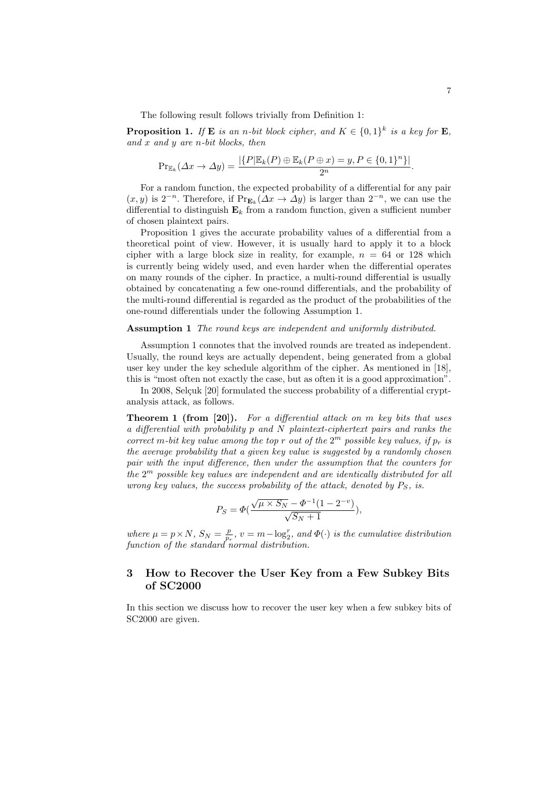The following result follows trivially from Definition 1:

**Proposition 1.** *If* **E** *is an n-bit block cipher, and*  $K \in \{0,1\}^k$  *is a key for* **E**, *and x and y are n-bit blocks, then*

$$
\Pr_{\mathbb{E}_k}(\Delta x \to \Delta y) = \frac{|\{P|\mathbb{E}_k(P) \oplus \mathbb{E}_k(P \oplus x) = y, P \in \{0,1\}^n\}|}{2^n}.
$$

For a random function, the expected probability of a differential for any pair  $(x, y)$  is 2<sup>−*n*</sup>. Therefore, if Pr<sub>**E**<sup>*k*</sup></sub>( $\Delta x$  →  $\Delta y$ ) is larger than 2<sup>−*n*</sup>, we can use the differential to distinguish  $\mathbf{E}_k$  from a random function, given a sufficient number of chosen plaintext pairs.

Proposition 1 gives the accurate probability values of a differential from a theoretical point of view. However, it is usually hard to apply it to a block cipher with a large block size in reality, for example,  $n = 64$  or 128 which is currently being widely used, and even harder when the differential operates on many rounds of the cipher. In practice, a multi-round differential is usually obtained by concatenating a few one-round differentials, and the probability of the multi-round differential is regarded as the product of the probabilities of the one-round differentials under the following Assumption 1.

#### **Assumption 1** *The round keys are independent and uniformly distributed.*

Assumption 1 connotes that the involved rounds are treated as independent. Usually, the round keys are actually dependent, being generated from a global user key under the key schedule algorithm of the cipher. As mentioned in [18], this is "most often not exactly the case, but as often it is a good approximation".

In 2008, Selçuk [20] formulated the success probability of a differential cryptanalysis attack, as follows.

**Theorem 1 (from [20]).** *For a differential attack on m key bits that uses a differential with probability p and N plaintext-ciphertext pairs and ranks the correct m*-bit key value among the top *r* out of the  $2^m$  possible key values, if  $p_r$  is *the average probability that a given key value is suggested by a randomly chosen pair with the input difference, then under the assumption that the counters for the* 2 *<sup>m</sup> possible key values are independent and are identically distributed for all wrong key values, the success probability of the attack, denoted by PS, is.*

$$
P_S = \Phi(\frac{\sqrt{\mu \times S_N} - \Phi^{-1}(1 - 2^{-v})}{\sqrt{S_N + 1}}),
$$

*where*  $\mu = p \times N$ *,*  $S_N = \frac{p}{p_r}$ *,*  $v = m - \log_2^r$ *, and*  $\Phi(\cdot)$  *is the cumulative distribution function of the standard normal distribution.*

# **3 How to Recover the User Key from a Few Subkey Bits of SC2000**

In this section we discuss how to recover the user key when a few subkey bits of SC2000 are given.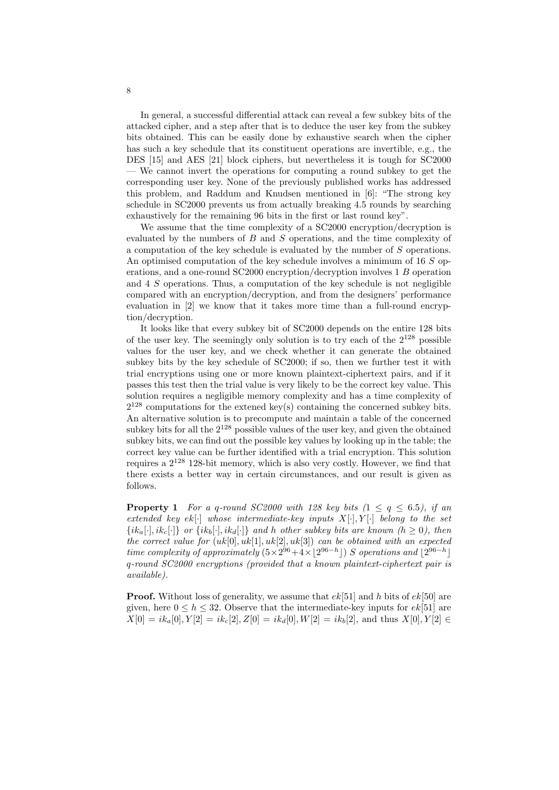In general, a successful differential attack can reveal a few subkey bits of the attacked cipher, and a step after that is to deduce the user key from the subkey bits obtained. This can be easily done by exhaustive search when the cipher has such a key schedule that its constituent operations are invertible, e.g., the DES [15] and AES [21] block ciphers, but nevertheless it is tough for SC2000 — We cannot invert the operations for computing a round subkey to get the corresponding user key. None of the previously published works has addressed this problem, and Raddum and Knudsen mentioned in [6]: "The strong key schedule in SC2000 prevents us from actually breaking 4.5 rounds by searching exhaustively for the remaining 96 bits in the first or last round key".

We assume that the time complexity of a SC2000 encryption/decryption is evaluated by the numbers of *B* and *S* operations, and the time complexity of a computation of the key schedule is evaluated by the number of *S* operations. An optimised computation of the key schedule involves a minimum of 16 *S* operations, and a one-round SC2000 encryption/decryption involves 1 *B* operation and 4 *S* operations. Thus, a computation of the key schedule is not negligible compared with an encryption/decryption, and from the designers' performance evaluation in [2] we know that it takes more time than a full-round encryption/decryption.

It looks like that every subkey bit of SC2000 depends on the entire 128 bits of the user key. The seemingly only solution is to try each of the  $2^{128}$  possible values for the user key, and we check whether it can generate the obtained subkey bits by the key schedule of SC2000; if so, then we further test it with trial encryptions using one or more known plaintext-ciphertext pairs, and if it passes this test then the trial value is very likely to be the correct key value. This solution requires a negligible memory complexity and has a time complexity of  $2^{128}$  computations for the extened key(s) containing the concerned subkey bits. An alternative solution is to precompute and maintain a table of the concerned subkey bits for all the  $2^{128}$  possible values of the user key, and given the obtained subkey bits, we can find out the possible key values by looking up in the table; the correct key value can be further identified with a trial encryption. This solution requires a  $2^{128}$  128-bit memory, which is also very costly. However, we find that there exists a better way in certain circumstances, and our result is given as follows.

**Property 1** *For a q-round SC2000 with 128 key bits*  $(1 \leq q \leq 6.5)$ *, if an extended key ek*[*·*] *whose intermediate-key inputs X*[*·*]*, Y* [*·*] *belong to the set*  $\{ik_a[\cdot], ik_c[\cdot]\}$  or  $\{ik_b[\cdot], ik_d[\cdot]\}$  and h other subkey bits are known  $(h \ge 0)$ , then *the correct value for*  $(uk[0], uk[1], uk[2], uk[3])$  *can be obtained with an expected time complexity of approximately*  $(5 \times 2^{96} + 4 \times \lfloor 2^{96-h} \rfloor)$  *S operations and*  $\lfloor 2^{96-h} \rfloor$ *q-round SC2000 encryptions (provided that a known plaintext-ciphertext pair is available).*

**Proof.** Without loss of generality, we assume that *ek*[51] and *h* bits of *ek*[50] are given, here  $0 \leq h \leq 32$ . Observe that the intermediate-key inputs for  $ek[51]$  are  $X[0] = ik_a[0], Y[2] = ik_c[2], Z[0] = ik_d[0], W[2] = ik_b[2],$  and thus  $X[0], Y[2] \in$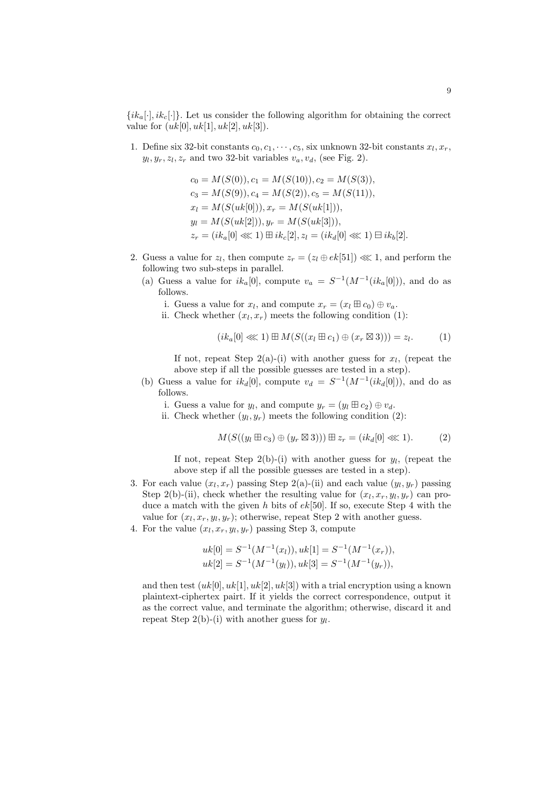$\{ik_a[\cdot], ik_c[\cdot]\}$ . Let us consider the following algorithm for obtaining the correct value for  $(uk[0], uk[1], uk[2], uk[3])$ .

1. Define six 32-bit constants  $c_0, c_1, \dots, c_5$ , six unknown 32-bit constants  $x_l, x_r$ ,  $y_l, y_r, z_l, z_r$  and two 32-bit variables  $v_a, v_d$ , (see Fig. 2).

$$
c_0 = M(S(0)), c_1 = M(S(10)), c_2 = M(S(3)),
$$
  
\n
$$
c_3 = M(S(9)), c_4 = M(S(2)), c_5 = M(S(11)),
$$
  
\n
$$
x_l = M(S(uk[0])), x_r = M(S(uk[1])),
$$
  
\n
$$
y_l = M(S(uk[2])), y_r = M(S(uk[3])),
$$
  
\n
$$
z_r = (ik_a[0] \ll 1) \boxplus ik_c[2], z_l = (ik_d[0] \ll 1) \boxplus ik_b[2].
$$

- 2. Guess a value for  $z_l$ , then compute  $z_r = (z_l \oplus ek[51]) \lll 1$ , and perform the following two sub-steps in parallel.
	- (a) Guess a value for  $ik_a[0]$ , compute  $v_a = S^{-1}(M^{-1}(ik_a[0]))$ , and do as follows.
		- i. Guess a value for  $x_l$ , and compute  $x_r = (x_l \boxplus c_0) \oplus v_a$ .
		- ii. Check whether  $(x_l, x_r)$  meets the following condition  $(1)$ :

$$
(ik_a[0] \lll 1) \boxplus M(S((x_l \boxplus c_1) \oplus (x_r \boxtimes 3))) = z_l. \tag{1}
$$

If not, repeat Step  $2(a)-(i)$  with another guess for  $x<sub>l</sub>$ , (repeat the above step if all the possible guesses are tested in a step).

(b) Guess a value for  $ik_d[0]$ , compute  $v_d = S^{-1}(M^{-1}(ik_d[0]))$ , and do as follows.

i. Guess a value for  $y_l$ , and compute  $y_r = (y_l \boxplus c_2) \oplus v_d$ .

ii. Check whether  $(y_l, y_r)$  meets the following condition  $(2)$ :

$$
M(S((y_l \boxplus c_3) \oplus (y_r \boxtimes 3))) \boxplus z_r = (ik_d[0] \lll 1). \tag{2}
$$

If not, repeat Step  $2(b)$ -(i) with another guess for  $y_l$ , (repeat the above step if all the possible guesses are tested in a step).

- 3. For each value  $(x_l, x_r)$  passing Step 2(a)-(ii) and each value  $(y_l, y_r)$  passing Step 2(b)-(ii), check whether the resulting value for  $(x_l, x_r, y_l, y_r)$  can produce a match with the given *h* bits of *ek*[50]. If so, execute Step 4 with the value for  $(x_l, x_r, y_l, y_r)$ ; otherwise, repeat Step 2 with another guess.
- 4. For the value  $(x_l, x_r, y_l, y_r)$  passing Step 3, compute

$$
uk[0] = S^{-1}(M^{-1}(x_l)), uk[1] = S^{-1}(M^{-1}(x_r)),
$$
  

$$
uk[2] = S^{-1}(M^{-1}(y_l)), uk[3] = S^{-1}(M^{-1}(y_r)),
$$

and then test  $(uk[0], uk[1], uk[2], uk[3])$  with a trial encryption using a known plaintext-ciphertex pairt. If it yields the correct correspondence, output it as the correct value, and terminate the algorithm; otherwise, discard it and repeat Step 2(b)-(i) with another guess for  $y_l$ .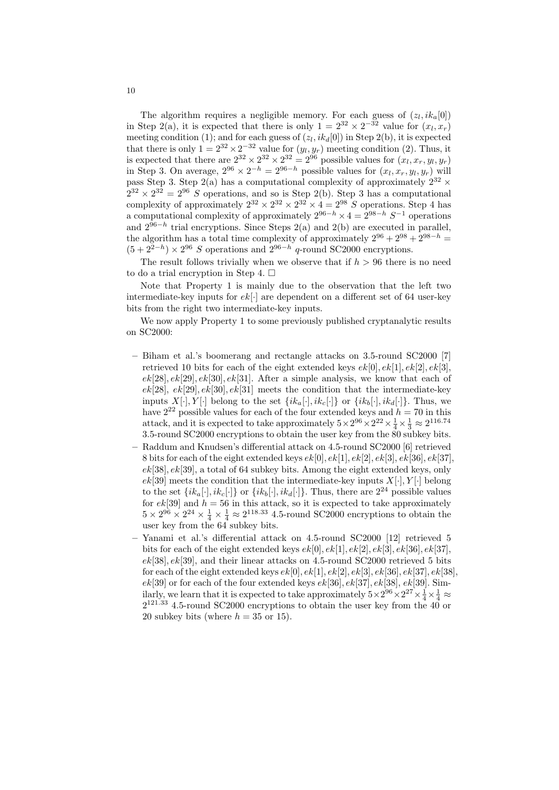The algorithm requires a negligible memory. For each guess of  $(z_l, ik_a[0])$ in Step 2(a), it is expected that there is only  $1 = 2^{32} \times 2^{-32}$  value for  $(x_l, x_r)$ meeting condition (1); and for each guess of  $(z_l, ik_d[0])$  in Step 2(b), it is expected that there is only  $1 = 2^{32} \times 2^{-32}$  value for  $(y_l, y_r)$  meeting condition (2). Thus, it is expected that there are  $2^{32} \times 2^{32} \times 2^{32} = 2^{96}$  possible values for  $(x_l, x_r, y_l, y_r)$ in Step 3. On average,  $2^{96} \times 2^{-h} = 2^{96-h}$  possible values for  $(x_l, x_r, y_l, y_r)$  will pass Step 3. Step 2(a) has a computational complexity of approximately  $2^{32}$   $\times$  $2^{32} \times 2^{32} = 2^{96}$  *S* operations, and so is Step 2(b). Step 3 has a computational complexity of approximately  $2^{32} \times 2^{32} \times 2^{32} \times 4 = 2^{98}$  *S* operations. Step 4 has a computational complexity of approximately  $2^{96-h} \times 4 = 2^{98-h} S^{-1}$  operations and 2<sup>96</sup>*−<sup>h</sup>* trial encryptions. Since Steps 2(a) and 2(b) are executed in parallel, the algorithm has a total time complexity of approximately  $2^{96} + 2^{98} + 2^{98-h} =$  $(5 + 2^{2-h}) \times 2^{96}$  *S* operations and  $2^{96-h}$  *q*-round SC2000 encryptions.

The result follows trivially when we observe that if  $h > 96$  there is no need to do a trial encryption in Step 4.  $\square$ 

Note that Property 1 is mainly due to the observation that the left two intermediate-key inputs for *ek*[*·*] are dependent on a different set of 64 user-key bits from the right two intermediate-key inputs.

We now apply Property 1 to some previously published cryptanalytic results on SC2000:

- **–** Biham et al.'s boomerang and rectangle attacks on 3.5-round SC2000 [7] retrieved 10 bits for each of the eight extended keys  $ek[0], ek[1], ek[2], ek[3]$ ,  $ek[28], ek[29], ek[30], ek[31].$  After a simple analysis, we know that each of *ek*[28]*, ek*[29]*, ek*[30]*, ek*[31] meets the condition that the intermediate-key inputs  $X[\cdot], Y[\cdot]$  belong to the set  $\{ik_a[\cdot], ik_c[\cdot]\}$  or  $\{ik_b[\cdot], ik_d[\cdot]\}$ . Thus, we have  $2^{22}$  possible values for each of the four extended keys and  $h = 70$  in this attack, and it is expected to take approximately  $5 \times 2^{96} \times 2^{22} \times \frac{1}{4} \times \frac{1}{3} \approx 2^{116.74}$ 3.5-round SC2000 encryptions to obtain the user key from the 80 subkey bits.
- **–** Raddum and Knudsen's differential attack on 4.5-round SC2000 [6] retrieved 8 bits for each of the eight extended keys  $ek[0], ek[1], ek[2], ek[3], ek[36], ek[37]$ , *ek*[38]*, ek*[39], a total of 64 subkey bits. Among the eight extended keys, only  $ek[39]$  meets the condition that the intermediate-key inputs  $X[\cdot], Y[\cdot]$  belong to the set  $\{ik_a[\cdot], ik_c[\cdot]\}$  or  $\{ik_b[\cdot], ik_d[\cdot]\}$ . Thus, there are  $2^{24}$  possible values for  $ek[39]$  and  $h = 56$  in this attack, so it is expected to take approximately  $5 \times 2^{96} \times 2^{24} \times \frac{1}{4} \times \frac{1}{4} \approx 2^{118.33}$  4.5-round SC2000 encryptions to obtain the user key from the 64 subkey bits.
- **–** Yanami et al.'s differential attack on 4.5-round SC2000 [12] retrieved 5 bits for each of the eight extended keys  $ek[0], ek[1], ek[2], ek[3], ek[36], ek[37]$ , *ek*[38]*, ek*[39], and their linear attacks on 4.5-round SC2000 retrieved 5 bits for each of the eight extended keys  $ek[0], ek[1], ek[2], ek[3], ek[36], ek[37], ek[38]$ , *ek*[39] or for each of the four extended keys *ek*[36]*, ek*[37]*, ek*[38]*, ek*[39]. Similarly, we learn that it is expected to take approximately  $5 \times 2^{96} \times 2^{27} \times \frac{1}{4} \times \frac{1}{4} \approx$  $2^{121.33}$  4.5-round SC2000 encryptions to obtain the user key from the 40 or 20 subkey bits (where  $h = 35$  or 15).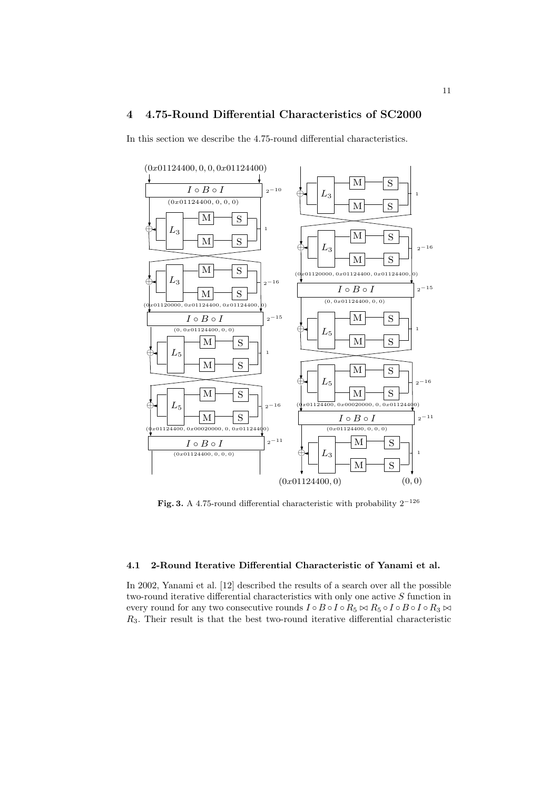# **4 4.75-Round Differential Characteristics of SC2000**

In this section we describe the 4.75-round differential characteristics.



**Fig. 3.** A 4.75-round differential characteristic with probability  $2^{-126}$ 

## **4.1 2-Round Iterative Differential Characteristic of Yanami et al.**

In 2002, Yanami et al. [12] described the results of a search over all the possible two-round iterative differential characteristics with only one active *S* function in every round for any two consecutive rounds  $I \circ B \circ I \circ R_5 \bowtie R_5 \circ I \circ B \circ I \circ R_3 \bowtie$ *R*3. Their result is that the best two-round iterative differential characteristic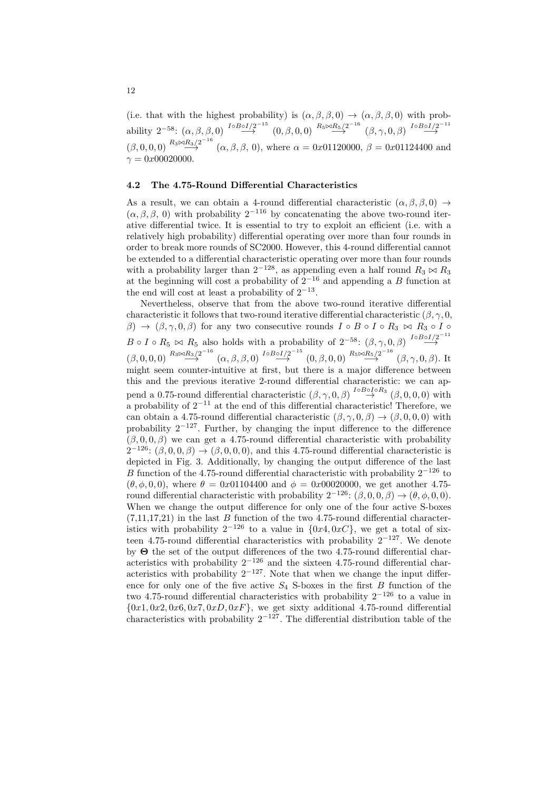(i.e. that with the highest probability) is  $(\alpha, \beta, \beta, 0) \rightarrow (\alpha, \beta, \beta, 0)$  with probability  $2^{-58}$ :  $(\alpha, \beta, \beta, 0) \stackrel{I \circ B \circ I/2^{-15}}{\longrightarrow} (0, \beta, 0, 0) \stackrel{R_5 \bowtie R_5/2^{-16}}{\longrightarrow} (\beta, \gamma, 0, \beta) \stackrel{I \circ B \circ I/2^{-11}}{\longrightarrow}$  $(\beta, 0, 0, 0)$   $\stackrel{R_3 \bowtie R_3/2^{-16}}{\longrightarrow}$   $(\alpha, \beta, \beta, 0)$ , where  $\alpha = 0x01120000, \beta = 0x01124400$  and  $\gamma = 0x00020000$ .

#### **4.2 The 4.75-Round Differential Characteristics**

As a result, we can obtain a 4-round differential characteristic  $(\alpha, \beta, \beta, 0) \rightarrow$  $(\alpha, \beta, \beta, 0)$  with probability  $2^{-116}$  by concatenating the above two-round iterative differential twice. It is essential to try to exploit an efficient (i.e. with a relatively high probability) differential operating over more than four rounds in order to break more rounds of SC2000. However, this 4-round differential cannot be extended to a differential characteristic operating over more than four rounds with a probability larger than  $2^{-128}$ , as appending even a half round  $R_3 \bowtie R_3$ at the beginning will cost a probability of 2*<sup>−</sup>*<sup>16</sup> and appending a *B* function at the end will cost at least a probability of 2*<sup>−</sup>*<sup>13</sup> .

Nevertheless, observe that from the above two-round iterative differential characteristic it follows that two-round iterative differential characteristic  $(\beta, \gamma, 0, 0)$ *β*)  $\rightarrow$  ( $\beta, \gamma, 0, \beta$ ) for any two consecutive rounds  $I \circ B \circ I \circ R_3 \bowtie R_3 \circ I \circ R_4$  $B \circ I \circ R_5 \bowtie R_5$  also holds with a probability of  $2^{-58}$ :  $(\beta, \gamma, 0, \beta) \stackrel{I \circ B \circ I/2^{-11}}{\longrightarrow}$  $(\beta,0,0,0) \stackrel{R_3 \bowtie R_3/2^{-16}}{\longrightarrow} (\alpha,\beta,\beta,0) \stackrel{I \circ B \circ I/2^{-15}}{\longrightarrow} (0,\beta,0,0) \stackrel{R_5 \bowtie R_5/2^{-16}}{\longrightarrow} (\beta,\gamma,0,\beta).$  It might seem counter-intuitive at first, but there is a major difference between this and the previous iterative 2-round differential characteristic: we can append a 0.75-round differential characteristic  $(\beta, \gamma, 0, \beta) \stackrel{I \circ B \circ I \circ R_3}{\rightarrow} (\beta, 0, 0, 0)$  with a probability of 2*<sup>−</sup>*<sup>11</sup> at the end of this differential characteristic! Therefore, we can obtain a 4.75-round differential characteristic  $(\beta, \gamma, 0, \beta) \rightarrow (\beta, 0, 0, 0)$  with probability 2*<sup>−</sup>*<sup>127</sup>. Further, by changing the input difference to the difference  $(\beta, 0, 0, \beta)$  we can get a 4.75-round differential characteristic with probability  $2^{-126}$ :  $(\beta, 0, 0, \beta) \rightarrow (\beta, 0, 0, 0)$ , and this 4.75-round differential characteristic is depicted in Fig. 3. Additionally, by changing the output difference of the last *B* function of the 4.75-round differential characteristic with probability 2<sup>−126</sup> to ( $\theta$ ,  $\phi$ , 0, 0), where  $\theta = 0x01104400$  and  $\phi = 0x00020000$ , we get another 4.75round differential characteristic with probability  $2^{-126}$ :  $(\beta, 0, 0, \beta) \rightarrow (\theta, \phi, 0, 0)$ . When we change the output difference for only one of the four active S-boxes  $(7,11,17,21)$  in the last *B* function of the two 4.75-round differential characteristics with probability  $2^{-126}$  to a value in  $\{0x4, 0xC\}$ , we get a total of sixteen 4.75-round differential characteristics with probability 2*<sup>−</sup>*<sup>127</sup>. We denote by **Θ** the set of the output differences of the two 4.75-round differential characteristics with probability 2*<sup>−</sup>*<sup>126</sup> and the sixteen 4.75-round differential characteristics with probability 2*<sup>−</sup>*<sup>127</sup>. Note that when we change the input difference for only one of the five active  $S_4$  S-boxes in the first  $B$  function of the two 4.75-round differential characteristics with probability 2*<sup>−</sup>*<sup>126</sup> to a value in *{*0*x*1*,* 0*x*2*,* 0*x*6*,* 0*x*7*,* 0*xD,* 0*xF}*, we get sixty additional 4.75-round differential characteristics with probability 2*<sup>−</sup>*<sup>127</sup>. The differential distribution table of the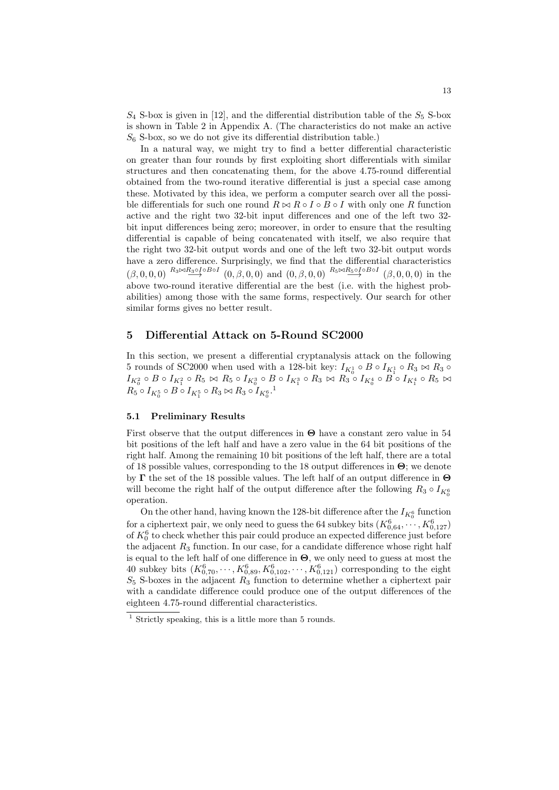$S_4$  S-box is given in [12], and the differential distribution table of the  $S_5$  S-box is shown in Table 2 in Appendix A. (The characteristics do not make an active  $S_6$  S-box, so we do not give its differential distribution table.)

In a natural way, we might try to find a better differential characteristic on greater than four rounds by first exploiting short differentials with similar structures and then concatenating them, for the above 4.75-round differential obtained from the two-round iterative differential is just a special case among these. Motivated by this idea, we perform a computer search over all the possible differentials for such one round  $R \bowtie R \circ I \circ B \circ I$  with only one R function active and the right two 32-bit input differences and one of the left two 32 bit input differences being zero; moreover, in order to ensure that the resulting differential is capable of being concatenated with itself, we also require that the right two 32-bit output words and one of the left two 32-bit output words have a zero difference. Surprisingly, we find that the differential characteristics  $(\beta,0,0,0) \stackrel{R_3 \bowtie R_3 \circ I \circ B \circ I}{\longrightarrow} (0,\beta,0,0)$  and  $(0,\beta,0,0) \stackrel{R_5 \bowtie R_5 \circ I \circ B \circ I}{\longrightarrow} (\beta,0,0,0)$  in the above two-round iterative differential are the best (i.e. with the highest probabilities) among those with the same forms, respectively. Our search for other similar forms gives no better result.

## **5 Differential Attack on 5-Round SC2000**

In this section, we present a differential cryptanalysis attack on the following 5 rounds of SC2000 when used with a 128-bit key:  $I_{K_0^1} \circ B \circ I_{K_1^1} \circ R_3 \bowtie R_3 \circ$  $I_{K^2_0}\circ B\circ I_{K^2_1}\circ R_5\Join R_5\circ I_{K^3_0}\circ B\circ I_{K^3_1}\circ R_3\Join R_3\circ I_{K^4_0}\circ B\circ I_{K^4_1}\circ R_5\Join$  $R_5 \circ I_{K_0^5} \circ B \circ I_{K_1^5} \circ R_3 \bowtie R_3 \circ I_{K_0^6}.$ <sup>1</sup>

## **5.1 Preliminary Results**

First observe that the output differences in **Θ** have a constant zero value in 54 bit positions of the left half and have a zero value in the 64 bit positions of the right half. Among the remaining 10 bit positions of the left half, there are a total of 18 possible values, corresponding to the 18 output differences in **Θ**; we denote by **Γ** the set of the 18 possible values. The left half of an output difference in **Θ** will become the right half of the output difference after the following  $R_3 \circ I_{K_0^6}$ operation.

On the other hand, having known the 128-bit difference after the  $I_{K_0^6}$  function for a ciphertext pair, we only need to guess the 64 subkey bits  $(K_{0,64}^6, \ldots, K_{0,127}^6)$ of  $K_0^6$  to check whether this pair could produce an expected difference just before the adjacent  $R_3$  function. In our case, for a candidate difference whose right half is equal to the left half of one difference in **Θ**, we only need to guess at most the 40 subkey bits  $(K_{0,70}^6, \dots, K_{0,89}^6, K_{0,102}^6, \dots, K_{0,121}^6)$  corresponding to the eight  $S_5$  S-boxes in the adjacent  $R_3$  function to determine whether a ciphertext pair with a candidate difference could produce one of the output differences of the eighteen 4.75-round differential characteristics.

 $1$  Strictly speaking, this is a little more than 5 rounds.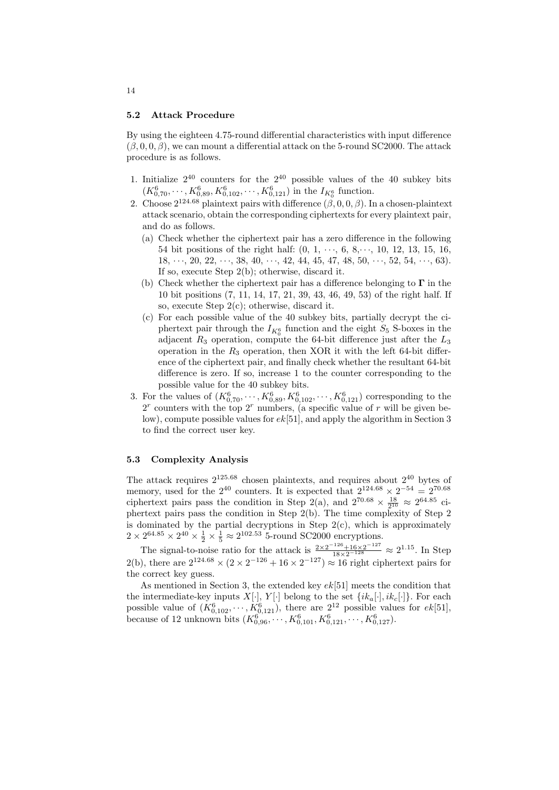#### **5.2 Attack Procedure**

By using the eighteen 4.75-round differential characteristics with input difference  $(\beta, 0, 0, \beta)$ , we can mount a differential attack on the 5-round SC2000. The attack procedure is as follows.

- 1. Initialize  $2^{40}$  counters for the  $2^{40}$  possible values of the 40 subkey bits  $(K_{0,70}^6, \dots, K_{0,89}^6, K_{0,102}^6, \dots, K_{0,121}^6)$  in the  $I_{K_0^6}$  function.
- 2. Choose  $2^{124.68}$  plaintext pairs with difference  $(\beta, 0, 0, \beta)$ . In a chosen-plaintext attack scenario, obtain the corresponding ciphertexts for every plaintext pair, and do as follows.
	- (a) Check whether the ciphertext pair has a zero difference in the following 54 bit positions of the right half: (0, 1, *· · ·*, 6, 8,*· · ·*, 10, 12, 13, 15, 16, 18, *· · ·*, 20, 22, *· · ·*, 38, 40, *· · ·*, 42, 44, 45, 47, 48, 50, *· · ·*, 52, 54, *· · ·*, 63). If so, execute Step 2(b); otherwise, discard it.
	- (b) Check whether the ciphertext pair has a difference belonging to **Γ** in the 10 bit positions (7, 11, 14, 17, 21, 39, 43, 46, 49, 53) of the right half. If so, execute Step 2(c); otherwise, discard it.
	- (c) For each possible value of the 40 subkey bits, partially decrypt the ciphertext pair through the  $I_{K_0^6}$  function and the eight  $S_5$  S-boxes in the adjacent *R*<sup>3</sup> operation, compute the 64-bit difference just after the *L*<sup>3</sup> operation in the *R*<sup>3</sup> operation, then XOR it with the left 64-bit difference of the ciphertext pair, and finally check whether the resultant 64-bit difference is zero. If so, increase 1 to the counter corresponding to the possible value for the 40 subkey bits.
- 3. For the values of  $(K_{0,70}^6, \dots, K_{0,89}^6, K_{0,102}^6, \dots, K_{0,121}^6)$  corresponding to the 2 *r* counters with the top 2*<sup>r</sup>* numbers, (a specific value of *r* will be given below), compute possible values for *ek*[51], and apply the algorithm in Section 3 to find the correct user key.

### **5.3 Complexity Analysis**

The attack requires  $2^{125.68}$  chosen plaintexts, and requires about  $2^{40}$  bytes of memory, used for the  $2^{40}$  counters. It is expected that  $2^{124.68} \times 2^{-54} = 2^{70.68}$ ciphertext pairs pass the condition in Step 2(a), and  $2^{70.68} \times \frac{18}{2^{10}} \approx 2^{64.85}$  ciphertext pairs pass the condition in Step 2(b). The time complexity of Step 2 is dominated by the partial decryptions in Step 2(c), which is approximately  $2 \times 2^{64.85} \times 2^{40} \times \frac{1}{2} \times \frac{1}{5} \approx 2^{102.53}$  5-round SC2000 encryptions.

The signal-to-noise ratio for the attack is  $\frac{2 \times 2^{-126} + 16 \times 2^{-127}}{18 \times 2^{-128}}$  ≈ 2<sup>1.15</sup>. In Step 2(b), there are  $2^{124.68} \times (2 \times 2^{-126} + 16 \times 2^{-127}) \approx 16$  right ciphertext pairs for the correct key guess.

As mentioned in Section 3, the extended key *ek*[51] meets the condition that the intermediate-key inputs  $X[\cdot]$ ,  $Y[\cdot]$  belong to the set  $\{ik_a[\cdot], ik_c[\cdot]\}$ . For each possible value of  $(K_{0,102}^6, \dots, K_{0,121}^6)$ , there are  $2^{12}$  possible values for  $ek[51]$ , because of 12 unknown bits  $(K_{0,96}^6, \dots, K_{0,101}^6, K_{0,121}^6, \dots, K_{0,127}^6)$ .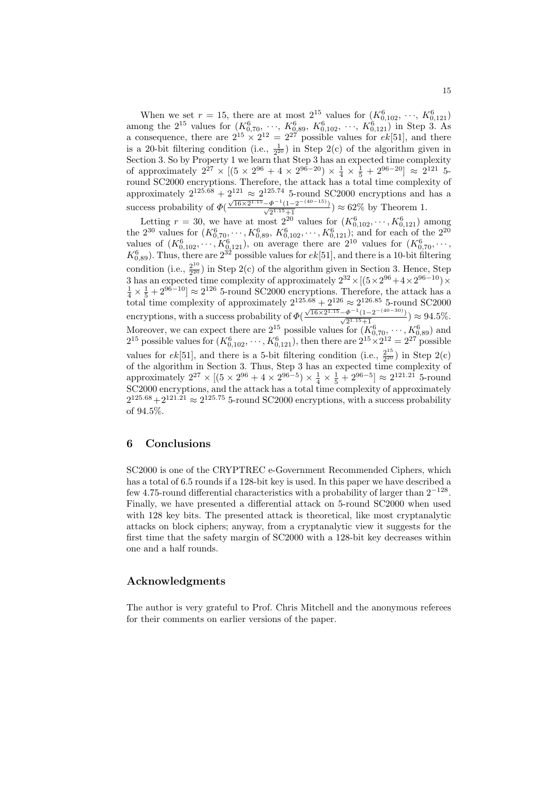When we set  $r = 15$ , there are at most  $2^{15}$  values for  $(K_{0,102}^6, \dots, K_{0,121}^6)$ among the  $2^{15}$  values for  $(K_{0,70}^6, \dots, K_{0,89}^6, K_{0,102}^6, \dots, K_{0,121}^6)$  in Step 3. As a consequence, there are  $2^{15} \times 2^{12} = 2^{27}$  possible values for  $ek[51]$ , and there is a 20-bit filtering condition (i.e.,  $\frac{1}{2^{20}}$ ) in Step 2(c) of the algorithm given in Section 3. So by Property 1 we learn that Step 3 has an expected time complexity of approximately  $2^{27} \times [(5 \times 2^{96} + 4 \times 2^{96-20}) \times \frac{1}{4} \times \frac{1}{5} + 2^{96-20}] \approx 2^{121}$  5round SC2000 encryptions. Therefore, the attack has a total time complexity of approximately  $2^{125.68} + 2^{121} \approx 2^{125.74}$  5-round SC2000 encryptions and has a success probability of *Φ*(  $\frac{\sqrt{16 \times 2^{1.15} - \Phi^{-1}(1 - 2^{-(40-15)})}}{\sqrt{2^{1.15} + 1}}$   $\approx 62\%$  by Theorem 1.

Letting  $r = 30$ , we have at most  $2^{20}$  values for  $(K_{0,102}^6, \dots, K_{0,121}^6)$  among the  $2^{30}$  values for  $(K_{0,70}^6, \dots, K_{0,89}^6, K_{0,102}^6, \dots, K_{0,121}^6)$ ; and for each of the  $2^{20}$ values of  $(K_{0,102}^6, \dots, K_{0,121}^6)$ , on average there are  $2^{10}$  values for  $(K_{0,70}^6, \dots,$  $K_{0,89}^6$ ). Thus, there are  $2^{32}$  possible values for  $ek[51]$ , and there is a 10-bit filtering condition (i.e.,  $\frac{2^{10}}{2^{20}}$  $\frac{2^{20}}{2^{20}}$  in Step 2(c) of the algorithm given in Section 3. Hence, Step 3 has an expected time complexity of approximately  $2^{32} \times [(5 \times 2^{96} + 4 \times 2^{96-10}) \times \frac{1}{4} \times \frac{1}{5} + 2^{96-10}] \approx 2^{126}$  5-round SC2000 encryptions. Therefore, the attack has a total time complexity of approximately  $2^{125.68} + 2^{126} \approx 2^{126.85}$  5-round SC2000 encryptions, with a success probability of *Φ*(  $\frac{\sqrt{16 \times 2^{1.15} - \Phi^{-1}(1 - 2^{-(40-30)})}}{\sqrt{2^{1.15} + 1}}$  ) ≈ 94.5%. Moreover, we can expect there are  $2^{15}$  possible values for  $(K_{0,70}^6, \dots, K_{0,89}^6)$  and 2<sup>15</sup> possible values for  $(K_{0,102}^6, \dots, K_{0,121}^6)$ , then there are  $2^{15} \times 2^{12} = 2^{27}$  possible values for  $ek[51]$ , and there is a 5-bit filtering condition (i.e.,  $\frac{2^{15}}{2^{20}}$ ) in Step 2(c) of the algorithm in Section 3. Thus, Step 3 has an expected time complexity of approximately  $2^{27} \times [(5 \times 2^{96} + 4 \times 2^{96-5}) \times \frac{1}{4} \times \frac{1}{5} + 2^{96-5}] \approx 2^{121.21}$  5-round SC2000 encryptions, and the attack has a total time complexity of approximately  $2^{125.68} + 2^{121.21} \approx 2^{125.75}$  5-round SC2000 encryptions, with a success probability of 94*.*5%.

## **6 Conclusions**

SC2000 is one of the CRYPTREC e-Government Recommended Ciphers, which has a total of 6.5 rounds if a 128-bit key is used. In this paper we have described a few 4.75-round differential characteristics with a probability of larger than 2*<sup>−</sup>*<sup>128</sup> . Finally, we have presented a differential attack on 5-round SC2000 when used with 128 key bits. The presented attack is theoretical, like most cryptanalytic attacks on block ciphers; anyway, from a cryptanalytic view it suggests for the first time that the safety margin of SC2000 with a 128-bit key decreases within one and a half rounds.

## **Acknowledgments**

The author is very grateful to Prof. Chris Mitchell and the anonymous referees for their comments on earlier versions of the paper.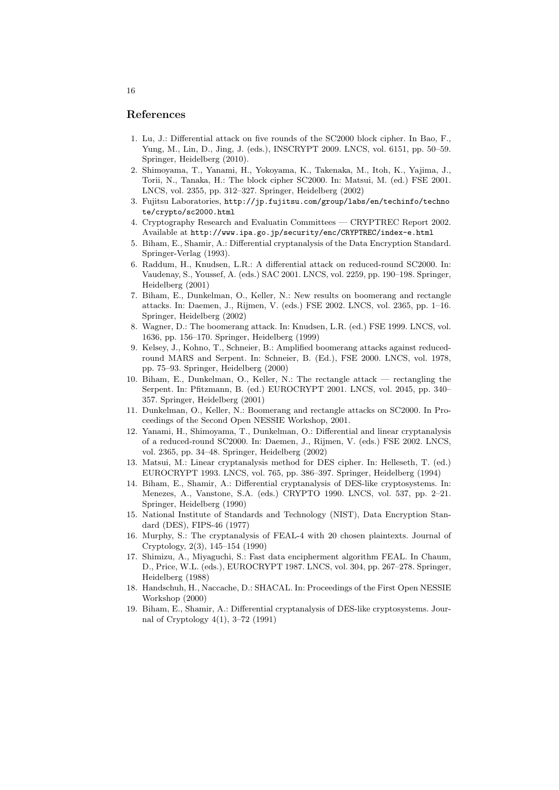## **References**

- 1. Lu, J.: Differential attack on five rounds of the SC2000 block cipher. In Bao, F., Yung, M., Lin, D., Jing, J. (eds.), INSCRYPT 2009. LNCS, vol. 6151, pp. 50–59. Springer, Heidelberg (2010).
- 2. Shimoyama, T., Yanami, H., Yokoyama, K., Takenaka, M., Itoh, K., Yajima, J., Torii, N., Tanaka, H.: The block cipher SC2000. In: Matsui, M. (ed.) FSE 2001. LNCS, vol. 2355, pp. 312–327. Springer, Heidelberg (2002)
- 3. Fujitsu Laboratories, http://jp.fujitsu.com/group/labs/en/techinfo/techno te/crypto/sc2000.html
- 4. Cryptography Research and Evaluatin Committees CRYPTREC Report 2002. Available at http://www.ipa.go.jp/security/enc/CRYPTREC/index-e.html
- 5. Biham, E., Shamir, A.: Differential cryptanalysis of the Data Encryption Standard. Springer-Verlag (1993).
- 6. Raddum, H., Knudsen, L.R.: A differential attack on reduced-round SC2000. In: Vaudenay, S., Youssef, A. (eds.) SAC 2001. LNCS, vol. 2259, pp. 190–198. Springer, Heidelberg (2001)
- 7. Biham, E., Dunkelman, O., Keller, N.: New results on boomerang and rectangle attacks. In: Daemen, J., Rijmen, V. (eds.) FSE 2002. LNCS, vol. 2365, pp. 1–16. Springer, Heidelberg (2002)
- 8. Wagner, D.: The boomerang attack. In: Knudsen, L.R. (ed.) FSE 1999. LNCS, vol. 1636, pp. 156–170. Springer, Heidelberg (1999)
- 9. Kelsey, J., Kohno, T., Schneier, B.: Amplified boomerang attacks against reducedround MARS and Serpent. In: Schneier, B. (Ed.), FSE 2000. LNCS, vol. 1978, pp. 75–93. Springer, Heidelberg (2000)
- 10. Biham, E., Dunkelman, O., Keller, N.: The rectangle attack rectangling the Serpent. In: Pfitzmann, B. (ed.) EUROCRYPT 2001. LNCS, vol. 2045, pp. 340– 357. Springer, Heidelberg (2001)
- 11. Dunkelman, O., Keller, N.: Boomerang and rectangle attacks on SC2000. In Proceedings of the Second Open NESSIE Workshop, 2001.
- 12. Yanami, H., Shimoyama, T., Dunkelman, O.: Differential and linear cryptanalysis of a reduced-round SC2000. In: Daemen, J., Rijmen, V. (eds.) FSE 2002. LNCS, vol. 2365, pp. 34–48. Springer, Heidelberg (2002)
- 13. Matsui, M.: Linear cryptanalysis method for DES cipher. In: Helleseth, T. (ed.) EUROCRYPT 1993. LNCS, vol. 765, pp. 386–397. Springer, Heidelberg (1994)
- 14. Biham, E., Shamir, A.: Differential cryptanalysis of DES-like cryptosystems. In: Menezes, A., Vanstone, S.A. (eds.) CRYPTO 1990. LNCS, vol. 537, pp. 2–21. Springer, Heidelberg (1990)
- 15. National Institute of Standards and Technology (NIST), Data Encryption Standard (DES), FIPS-46 (1977)
- 16. Murphy, S.: The cryptanalysis of FEAL-4 with 20 chosen plaintexts. Journal of Cryptology, 2(3), 145–154 (1990)
- 17. Shimizu, A., Miyaguchi, S.: Fast data encipherment algorithm FEAL. In Chaum, D., Price, W.L. (eds.), EUROCRYPT 1987. LNCS, vol. 304, pp. 267–278. Springer, Heidelberg (1988)
- 18. Handschuh, H., Naccache, D.: SHACAL. In: Proceedings of the First Open NESSIE Workshop (2000)
- 19. Biham, E., Shamir, A.: Differential cryptanalysis of DES-like cryptosystems. Journal of Cryptology 4(1), 3–72 (1991)

16